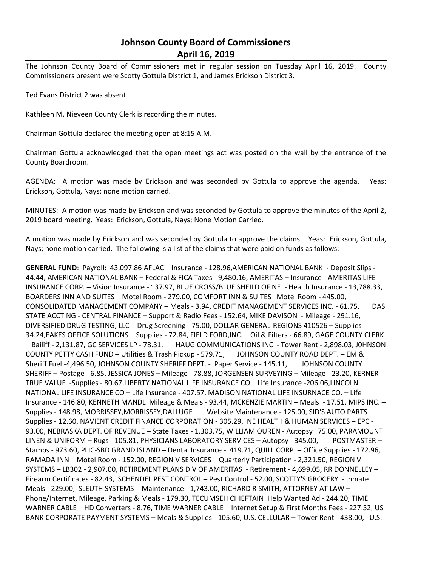# **Johnson County Board of Commissioners April 16, 2019**

The Johnson County Board of Commissioners met in regular session on Tuesday April 16, 2019. County Commissioners present were Scotty Gottula District 1, and James Erickson District 3.

Ted Evans District 2 was absent

Kathleen M. Nieveen County Clerk is recording the minutes.

Chairman Gottula declared the meeting open at 8:15 A.M.

Chairman Gottula acknowledged that the open meetings act was posted on the wall by the entrance of the County Boardroom.

AGENDA: A motion was made by Erickson and was seconded by Gottula to approve the agenda. Yeas: Erickson, Gottula, Nays; none motion carried.

MINUTES: A motion was made by Erickson and was seconded by Gottula to approve the minutes of the April 2, 2019 board meeting. Yeas: Erickson, Gottula, Nays; None Motion Carried.

A motion was made by Erickson and was seconded by Gottula to approve the claims. Yeas: Erickson, Gottula, Nays; none motion carried. The following is a list of the claims that were paid on funds as follows:

**GENERAL FUND**: Payroll: 43,097.86 AFLAC – Insurance - 128.96,AMERICAN NATIONAL BANK - Deposit Slips - 44.44, AMERICAN NATIONAL BANK – Federal & FICA Taxes - 9,480.16, AMERITAS – Insurance - AMERITAS LIFE INSURANCE CORP. – Vision Insurance - 137.97, BLUE CROSS/BLUE SHEILD OF NE - Health Insurance - 13,788.33, BOARDERS INN AND SUITES – Motel Room - 279.00, COMFORT INN & SUITES Motel Room - 445.00, CONSOLIDATED MANAGEMENT COMPANY – Meals - 3.94, CREDIT MANAGEMENT SERVICES INC. - 61.75, DAS STATE ACCTING - CENTRAL FINANCE – Support & Radio Fees - 152.64, MIKE DAVISON - Mileage - 291.16, DIVERSIFIED DRUG TESTING, LLC - Drug Screening - 75.00, DOLLAR GENERAL-REGIONS 410526 – Supplies - 34.24,EAKES OFFICE SOLUTIONS – Supplies - 72.84, FIELD FORD,INC. – Oil & Filters - 66.89, GAGE COUNTY CLERK – Bailiff - 2,131.87, GC SERVICES LP - 78.31, HAUG COMMUNICATIONS INC - Tower Rent - 2,898.03, J0HNSON COUNTY PETTY CASH FUND – Utilities & Trash Pickup - 579.71, JOHNSON COUNTY ROAD DEPT. – EM & Sheriff Fuel -4,496.50, JOHNSON COUNTY SHERIFF DEPT. - Paper Service - 145.11, JOHNSON COUNTY SHERIFF – Postage - 6.85, JESSICA JONES – Mileage - 78.88, JORGENSEN SURVEYING – Mileage - 23.20, KERNER TRUE VALUE -Supplies - 80.67,LIBERTY NATIONAL LIFE INSURANCE CO – Life Insurance -206.06,LINCOLN NATIONAL LIFE INSURANCE CO – Life Insurance - 407.57, MADISON NATIONAL LIFE INSURNACE CO. – Life Insurance - 146.80, KENNETH MANDL Mileage & Meals - 93.44, MCKENZIE MARTIN – Meals - 17.51, MIPS INC. – Supplies - 148.98, MORRISSEY,MORRISSEY,DALLUGE Website Maintenance - 125.00, SID'S AUTO PARTS – Supplies - 12.60, NAVIENT CREDIT FINANCE CORPORATION - 305.29, NE HEALTH & HUMAN SERVICES – EPC - 93.00, NEBRASKA DEPT. OF REVENUE – State Taxes - 1,303.75, WILLIAM OUREN - Autopsy 75.00, PARAMOUNT LINEN & UNIFORM – Rugs - 105.81, PHYSICIANS LABORATORY SERVICES – Autopsy - 345.00, POSTMASTER – Stamps - 973.60, PLIC-SBD GRAND ISLAND – Dental Insurance - 419.71, QUILL CORP. – Office Supplies - 172.96, RAMADA INN – Motel Room - 152.00, REGION V SERVICES – Quarterly Participation - 2,321.50, REGION V SYSTEMS – LB302 - 2,907.00, RETIREMENT PLANS DIV OF AMERITAS - Retirement - 4,699.05, RR DONNELLEY – Firearm Certificates - 82.43, SCHENDEL PEST CONTROL – Pest Control - 52.00, SCOTTY'S GROCERY - Inmate Meals - 229.00, SLEUTH SYSTEMS - Maintenance - 1,743.00, RICHARD R SMITH, ATTORNEY AT LAW – Phone/Internet, Mileage, Parking & Meals - 179.30, TECUMSEH CHIEFTAIN Help Wanted Ad - 244.20, TIME WARNER CABLE – HD Converters - 8.76, TIME WARNER CABLE – Internet Setup & First Months Fees - 227.32, US BANK CORPORATE PAYMENT SYSTEMS – Meals & Supplies - 105.60, U.S. CELLULAR – Tower Rent - 438.00, U.S.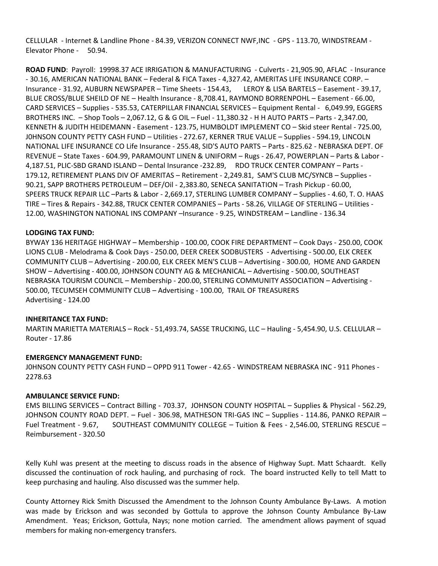CELLULAR - Internet & Landline Phone - 84.39, VERIZON CONNECT NWF,INC - GPS - 113.70, WINDSTREAM - Elevator Phone - 50.94.

**ROAD FUND**: Payroll: 19998.37 ACE IRRIGATION & MANUFACTURING - Culverts - 21,905.90, AFLAC - Insurance - 30.16, AMERICAN NATIONAL BANK – Federal & FICA Taxes - 4,327.42, AMERITAS LIFE INSURANCE CORP. – Insurance - 31.92, AUBURN NEWSPAPER – Time Sheets - 154.43, LEROY & LISA BARTELS – Easement - 39.17, BLUE CROSS/BLUE SHEILD OF NE – Health Insurance - 8,708.41, RAYMOND BORRENPOHL – Easement - 66.00, CARD SERVICES – Supplies - 535.53, CATERPILLAR FINANCIAL SERVICES – Equipment Rental - 6,049.99, EGGERS BROTHERS INC. – Shop Tools – 2,067.12, G & G OIL – Fuel - 11,380.32 - H H AUTO PARTS – Parts - 2,347.00, KENNETH & JUDITH HEIDEMANN - Easement - 123.75, HUMBOLDT IMPLEMENT CO – Skid steer Rental - 725.00, J0HNSON COUNTY PETTY CASH FUND – Utilities - 272.67, KERNER TRUE VALUE – Supplies - 594.19, LINCOLN NATIONAL LIFE INSURANCE CO Life Insurance - 255.48, SID'S AUTO PARTS – Parts - 825.62 - NEBRASKA DEPT. OF REVENUE – State Taxes - 604.99, PARAMOUNT LINEN & UNIFORM – Rugs - 26.47, POWERPLAN – Parts & Labor - 4,187.51, PLIC-SBD GRAND ISLAND – Dental Insurance -232.89, RDO TRUCK CENTER COMPANY – Parts - 179.12, RETIREMENT PLANS DIV OF AMERITAS – Retirement - 2,249.81, SAM'S CLUB MC/SYNCB – Supplies - 90.21, SAPP BROTHERS PETROLEUM – DEF/Oil - 2,383.80, SENECA SANITATION – Trash Pickup - 60.00, SPEERS TRUCK REPAIR LLC –Parts & Labor - 2,669.17, STERLING LUMBER COMPANY – Supplies - 4.60, T. O. HAAS TIRE – Tires & Repairs - 342.88, TRUCK CENTER COMPANIES – Parts - 58.26, VILLAGE OF STERLING – Utilities - 12.00, WASHINGTON NATIONAL INS COMPANY –Insurance - 9.25, WINDSTREAM – Landline - 136.34

## **LODGING TAX FUND:**

BYWAY 136 HERITAGE HIGHWAY – Membership - 100.00, COOK FIRE DEPARTMENT – Cook Days - 250.00, COOK LIONS CLUB - Melodrama & Cook Days - 250.00, DEER CREEK SODBUSTERS - Advertising - 500.00, ELK CREEK COMMUNITY CLUB – Advertising - 200.00, ELK CREEK MEN'S CLUB – Advertising - 300.00, HOME AND GARDEN SHOW – Advertising - 400.00, JOHNSON COUNTY AG & MECHANICAL – Advertising - 500.00, SOUTHEAST NEBRASKA TOURISM COUNCIL – Membership - 200.00, STERLING COMMUNITY ASSOCIATION – Advertising - 500.00, TECUMSEH COMMUNITY CLUB – Advertising - 100.00, TRAIL OF TREASURERS Advertising - 124.00

#### **INHERITANCE TAX FUND:**

MARTIN MARIETTA MATERIALS – Rock - 51,493.74, SASSE TRUCKING, LLC – Hauling - 5,454.90, U.S. CELLULAR – Router - 17.86

### **EMERGENCY MANAGEMENT FUND:**

J0HNSON COUNTY PETTY CASH FUND – OPPD 911 Tower - 42.65 - WINDSTREAM NEBRASKA INC - 911 Phones - 2278.63

#### **AMBULANCE SERVICE FUND:**

EMS BILLING SERVICES – Contract Billing - 703.37, JOHNSON COUNTY HOSPITAL – Supplies & Physical - 562.29, JOHNSON COUNTY ROAD DEPT. – Fuel - 306.98, MATHESON TRI-GAS INC – Supplies - 114.86, PANKO REPAIR – Fuel Treatment - 9.67, SOUTHEAST COMMUNITY COLLEGE – Tuition & Fees - 2,546.00, STERLING RESCUE – Reimbursement - 320.50

Kelly Kuhl was present at the meeting to discuss roads in the absence of Highway Supt. Matt Schaardt. Kelly discussed the continuation of rock hauling, and purchasing of rock. The board instructed Kelly to tell Matt to keep purchasing and hauling. Also discussed was the summer help.

County Attorney Rick Smith Discussed the Amendment to the Johnson County Ambulance By-Laws. A motion was made by Erickson and was seconded by Gottula to approve the Johnson County Ambulance By-Law Amendment. Yeas; Erickson, Gottula, Nays; none motion carried. The amendment allows payment of squad members for making non-emergency transfers.